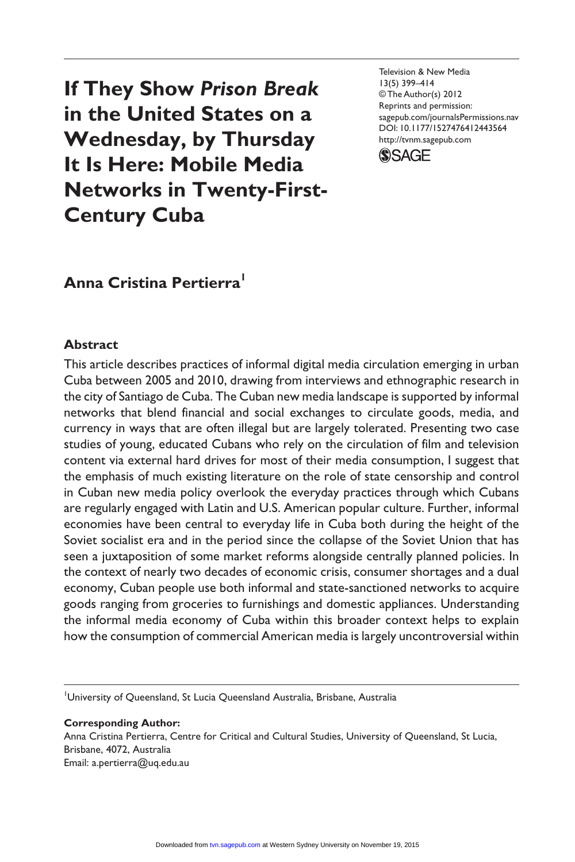**If They Show** *Prison Break* **in the United States on a Wednesday, by Thursday It Is Here: Mobile Media Networks in Twenty-First-Century Cuba**

Television & New Media 13(5) 399–414 © The Author(s) 2012 Reprints and permission: sagepub.com/journalsPermissions.nav DOI: 10.1177/1527476412443564 http://tvnm.sagepub.com



# **Anna Cristina Pertierra1**

### **Abstract**

This article describes practices of informal digital media circulation emerging in urban Cuba between 2005 and 2010, drawing from interviews and ethnographic research in the city of Santiago de Cuba. The Cuban new media landscape is supported by informal networks that blend financial and social exchanges to circulate goods, media, and currency in ways that are often illegal but are largely tolerated. Presenting two case studies of young, educated Cubans who rely on the circulation of film and television content via external hard drives for most of their media consumption, I suggest that the emphasis of much existing literature on the role of state censorship and control in Cuban new media policy overlook the everyday practices through which Cubans are regularly engaged with Latin and U.S. American popular culture. Further, informal economies have been central to everyday life in Cuba both during the height of the Soviet socialist era and in the period since the collapse of the Soviet Union that has seen a juxtaposition of some market reforms alongside centrally planned policies. In the context of nearly two decades of economic crisis, consumer shortages and a dual economy, Cuban people use both informal and state-sanctioned networks to acquire goods ranging from groceries to furnishings and domestic appliances. Understanding the informal media economy of Cuba within this broader context helps to explain how the consumption of commercial American media is largely uncontroversial within

1 University of Queensland, St Lucia Queensland Australia, Brisbane, Australia

#### **Corresponding Author:**

Anna Cristina Pertierra, Centre for Critical and Cultural Studies, University of Queensland, St Lucia, Brisbane, 4072, Australia Email: a.pertierra@uq.edu.au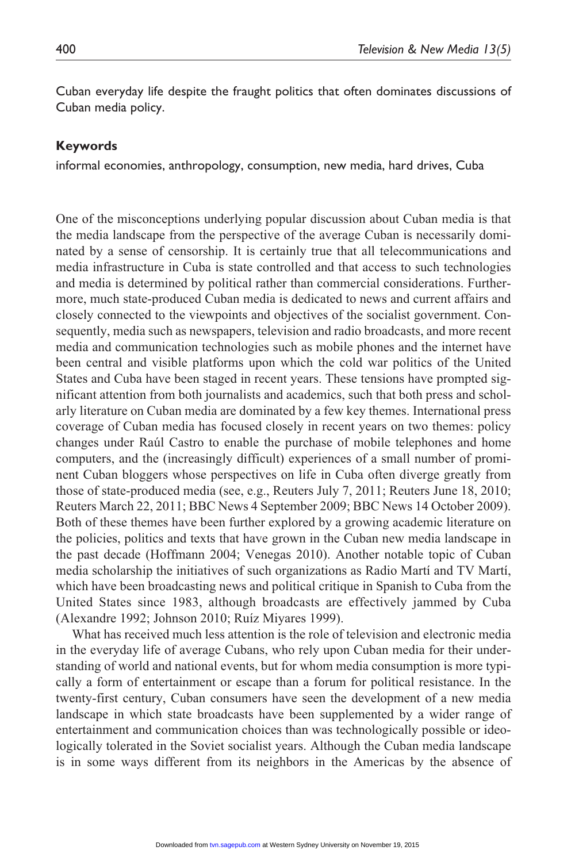Cuban everyday life despite the fraught politics that often dominates discussions of Cuban media policy.

#### **Keywords**

informal economies, anthropology, consumption, new media, hard drives, Cuba

One of the misconceptions underlying popular discussion about Cuban media is that the media landscape from the perspective of the average Cuban is necessarily dominated by a sense of censorship. It is certainly true that all telecommunications and media infrastructure in Cuba is state controlled and that access to such technologies and media is determined by political rather than commercial considerations. Furthermore, much state-produced Cuban media is dedicated to news and current affairs and closely connected to the viewpoints and objectives of the socialist government. Consequently, media such as newspapers, television and radio broadcasts, and more recent media and communication technologies such as mobile phones and the internet have been central and visible platforms upon which the cold war politics of the United States and Cuba have been staged in recent years. These tensions have prompted significant attention from both journalists and academics, such that both press and scholarly literature on Cuban media are dominated by a few key themes. International press coverage of Cuban media has focused closely in recent years on two themes: policy changes under Raúl Castro to enable the purchase of mobile telephones and home computers, and the (increasingly difficult) experiences of a small number of prominent Cuban bloggers whose perspectives on life in Cuba often diverge greatly from those of state-produced media (see, e.g., Reuters July 7, 2011; Reuters June 18, 2010; Reuters March 22, 2011; BBC News 4 September 2009; BBC News 14 October 2009). Both of these themes have been further explored by a growing academic literature on the policies, politics and texts that have grown in the Cuban new media landscape in the past decade (Hoffmann 2004; Venegas 2010). Another notable topic of Cuban media scholarship the initiatives of such organizations as Radio Martí and TV Martí, which have been broadcasting news and political critique in Spanish to Cuba from the United States since 1983, although broadcasts are effectively jammed by Cuba (Alexandre 1992; Johnson 2010; Ruíz Miyares 1999).

What has received much less attention is the role of television and electronic media in the everyday life of average Cubans, who rely upon Cuban media for their understanding of world and national events, but for whom media consumption is more typically a form of entertainment or escape than a forum for political resistance. In the twenty-first century, Cuban consumers have seen the development of a new media landscape in which state broadcasts have been supplemented by a wider range of entertainment and communication choices than was technologically possible or ideologically tolerated in the Soviet socialist years. Although the Cuban media landscape is in some ways different from its neighbors in the Americas by the absence of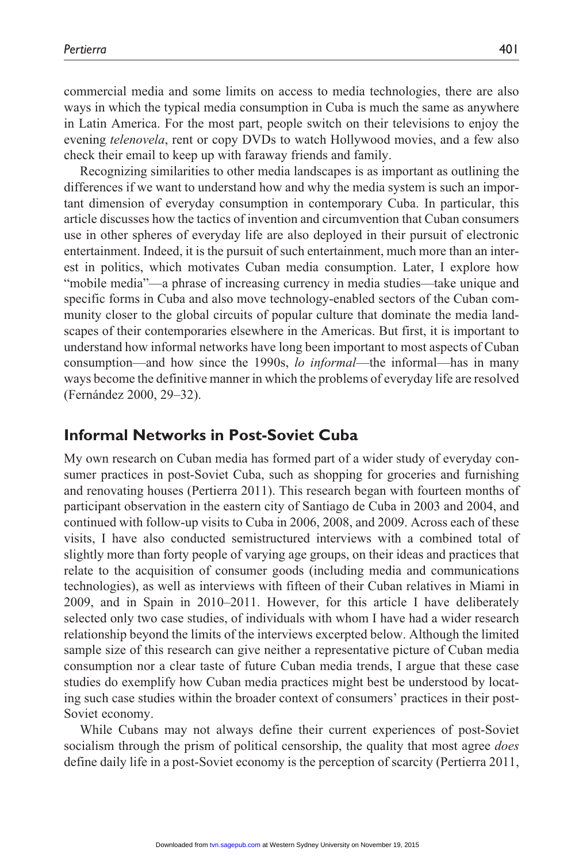commercial media and some limits on access to media technologies, there are also ways in which the typical media consumption in Cuba is much the same as anywhere in Latin America. For the most part, people switch on their televisions to enjoy the evening *telenovela*, rent or copy DVDs to watch Hollywood movies, and a few also check their email to keep up with faraway friends and family.

Recognizing similarities to other media landscapes is as important as outlining the differences if we want to understand how and why the media system is such an important dimension of everyday consumption in contemporary Cuba. In particular, this article discusses how the tactics of invention and circumvention that Cuban consumers use in other spheres of everyday life are also deployed in their pursuit of electronic entertainment. Indeed, it is the pursuit of such entertainment, much more than an interest in politics, which motivates Cuban media consumption. Later, I explore how "mobile media"—a phrase of increasing currency in media studies—take unique and specific forms in Cuba and also move technology-enabled sectors of the Cuban community closer to the global circuits of popular culture that dominate the media landscapes of their contemporaries elsewhere in the Americas. But first, it is important to understand how informal networks have long been important to most aspects of Cuban consumption—and how since the 1990s, *lo informal*—the informal—has in many ways become the definitive manner in which the problems of everyday life are resolved (Fernández 2000, 29–32).

### **Informal Networks in Post-Soviet Cuba**

My own research on Cuban media has formed part of a wider study of everyday consumer practices in post-Soviet Cuba, such as shopping for groceries and furnishing and renovating houses (Pertierra 2011). This research began with fourteen months of participant observation in the eastern city of Santiago de Cuba in 2003 and 2004, and continued with follow-up visits to Cuba in 2006, 2008, and 2009. Across each of these visits, I have also conducted semistructured interviews with a combined total of slightly more than forty people of varying age groups, on their ideas and practices that relate to the acquisition of consumer goods (including media and communications technologies), as well as interviews with fifteen of their Cuban relatives in Miami in 2009, and in Spain in 2010–2011. However, for this article I have deliberately selected only two case studies, of individuals with whom I have had a wider research relationship beyond the limits of the interviews excerpted below. Although the limited sample size of this research can give neither a representative picture of Cuban media consumption nor a clear taste of future Cuban media trends, I argue that these case studies do exemplify how Cuban media practices might best be understood by locating such case studies within the broader context of consumers' practices in their post-Soviet economy.

While Cubans may not always define their current experiences of post-Soviet socialism through the prism of political censorship, the quality that most agree *does* define daily life in a post-Soviet economy is the perception of scarcity (Pertierra 2011,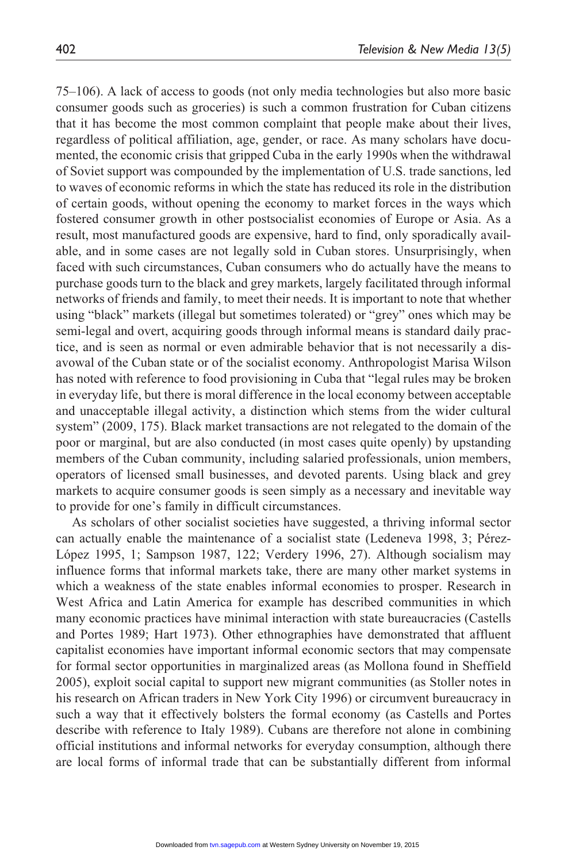75–106). A lack of access to goods (not only media technologies but also more basic consumer goods such as groceries) is such a common frustration for Cuban citizens that it has become the most common complaint that people make about their lives, regardless of political affiliation, age, gender, or race. As many scholars have documented, the economic crisis that gripped Cuba in the early 1990s when the withdrawal of Soviet support was compounded by the implementation of U.S. trade sanctions, led to waves of economic reforms in which the state has reduced its role in the distribution of certain goods, without opening the economy to market forces in the ways which fostered consumer growth in other postsocialist economies of Europe or Asia. As a result, most manufactured goods are expensive, hard to find, only sporadically available, and in some cases are not legally sold in Cuban stores. Unsurprisingly, when faced with such circumstances, Cuban consumers who do actually have the means to purchase goods turn to the black and grey markets, largely facilitated through informal networks of friends and family, to meet their needs. It is important to note that whether using "black" markets (illegal but sometimes tolerated) or "grey" ones which may be semi-legal and overt, acquiring goods through informal means is standard daily practice, and is seen as normal or even admirable behavior that is not necessarily a disavowal of the Cuban state or of the socialist economy. Anthropologist Marisa Wilson has noted with reference to food provisioning in Cuba that "legal rules may be broken in everyday life, but there is moral difference in the local economy between acceptable and unacceptable illegal activity, a distinction which stems from the wider cultural system" (2009, 175). Black market transactions are not relegated to the domain of the poor or marginal, but are also conducted (in most cases quite openly) by upstanding members of the Cuban community, including salaried professionals, union members, operators of licensed small businesses, and devoted parents. Using black and grey markets to acquire consumer goods is seen simply as a necessary and inevitable way to provide for one's family in difficult circumstances.

As scholars of other socialist societies have suggested, a thriving informal sector can actually enable the maintenance of a socialist state (Ledeneva 1998, 3; Pérez-López 1995, 1; Sampson 1987, 122; Verdery 1996, 27). Although socialism may influence forms that informal markets take, there are many other market systems in which a weakness of the state enables informal economies to prosper. Research in West Africa and Latin America for example has described communities in which many economic practices have minimal interaction with state bureaucracies (Castells and Portes 1989; Hart 1973). Other ethnographies have demonstrated that affluent capitalist economies have important informal economic sectors that may compensate for formal sector opportunities in marginalized areas (as Mollona found in Sheffield 2005), exploit social capital to support new migrant communities (as Stoller notes in his research on African traders in New York City 1996) or circumvent bureaucracy in such a way that it effectively bolsters the formal economy (as Castells and Portes describe with reference to Italy 1989). Cubans are therefore not alone in combining official institutions and informal networks for everyday consumption, although there are local forms of informal trade that can be substantially different from informal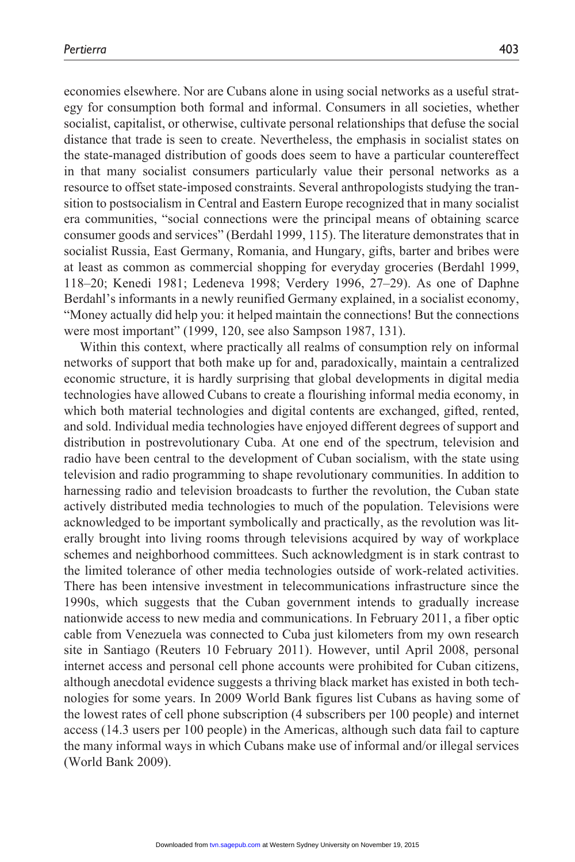economies elsewhere. Nor are Cubans alone in using social networks as a useful strategy for consumption both formal and informal. Consumers in all societies, whether socialist, capitalist, or otherwise, cultivate personal relationships that defuse the social distance that trade is seen to create. Nevertheless, the emphasis in socialist states on the state-managed distribution of goods does seem to have a particular countereffect in that many socialist consumers particularly value their personal networks as a resource to offset state-imposed constraints. Several anthropologists studying the transition to postsocialism in Central and Eastern Europe recognized that in many socialist era communities, "social connections were the principal means of obtaining scarce consumer goods and services" (Berdahl 1999, 115). The literature demonstrates that in socialist Russia, East Germany, Romania, and Hungary, gifts, barter and bribes were at least as common as commercial shopping for everyday groceries (Berdahl 1999, 118–20; Kenedi 1981; Ledeneva 1998; Verdery 1996, 27–29). As one of Daphne Berdahl's informants in a newly reunified Germany explained, in a socialist economy, "Money actually did help you: it helped maintain the connections! But the connections were most important" (1999, 120, see also Sampson 1987, 131).

Within this context, where practically all realms of consumption rely on informal networks of support that both make up for and, paradoxically, maintain a centralized economic structure, it is hardly surprising that global developments in digital media technologies have allowed Cubans to create a flourishing informal media economy, in which both material technologies and digital contents are exchanged, gifted, rented, and sold. Individual media technologies have enjoyed different degrees of support and distribution in postrevolutionary Cuba. At one end of the spectrum, television and radio have been central to the development of Cuban socialism, with the state using television and radio programming to shape revolutionary communities. In addition to harnessing radio and television broadcasts to further the revolution, the Cuban state actively distributed media technologies to much of the population. Televisions were acknowledged to be important symbolically and practically, as the revolution was literally brought into living rooms through televisions acquired by way of workplace schemes and neighborhood committees. Such acknowledgment is in stark contrast to the limited tolerance of other media technologies outside of work-related activities. There has been intensive investment in telecommunications infrastructure since the 1990s, which suggests that the Cuban government intends to gradually increase nationwide access to new media and communications. In February 2011, a fiber optic cable from Venezuela was connected to Cuba just kilometers from my own research site in Santiago (Reuters 10 February 2011). However, until April 2008, personal internet access and personal cell phone accounts were prohibited for Cuban citizens, although anecdotal evidence suggests a thriving black market has existed in both technologies for some years. In 2009 World Bank figures list Cubans as having some of the lowest rates of cell phone subscription (4 subscribers per 100 people) and internet access (14.3 users per 100 people) in the Americas, although such data fail to capture the many informal ways in which Cubans make use of informal and/or illegal services (World Bank 2009).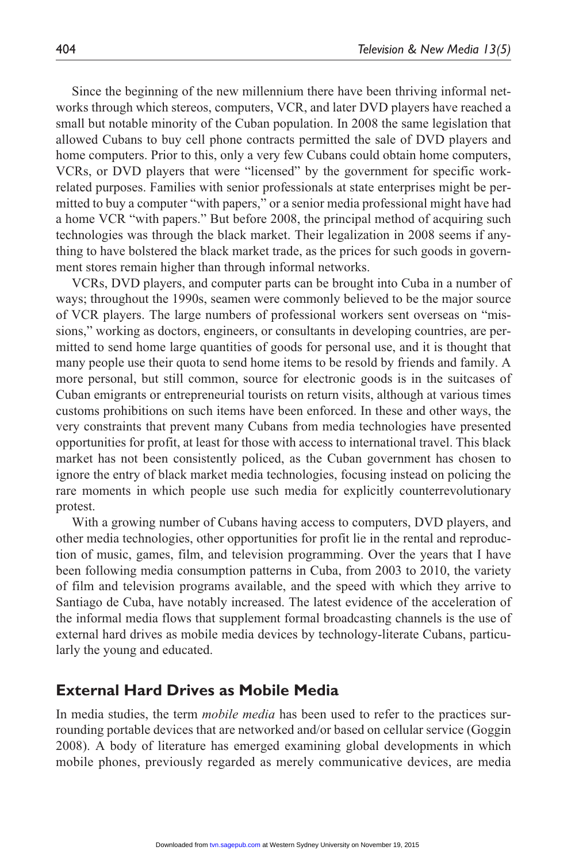Since the beginning of the new millennium there have been thriving informal networks through which stereos, computers, VCR, and later DVD players have reached a small but notable minority of the Cuban population. In 2008 the same legislation that allowed Cubans to buy cell phone contracts permitted the sale of DVD players and home computers. Prior to this, only a very few Cubans could obtain home computers, VCRs, or DVD players that were "licensed" by the government for specific workrelated purposes. Families with senior professionals at state enterprises might be permitted to buy a computer "with papers," or a senior media professional might have had a home VCR "with papers." But before 2008, the principal method of acquiring such technologies was through the black market. Their legalization in 2008 seems if anything to have bolstered the black market trade, as the prices for such goods in government stores remain higher than through informal networks.

VCRs, DVD players, and computer parts can be brought into Cuba in a number of ways; throughout the 1990s, seamen were commonly believed to be the major source of VCR players. The large numbers of professional workers sent overseas on "missions," working as doctors, engineers, or consultants in developing countries, are permitted to send home large quantities of goods for personal use, and it is thought that many people use their quota to send home items to be resold by friends and family. A more personal, but still common, source for electronic goods is in the suitcases of Cuban emigrants or entrepreneurial tourists on return visits, although at various times customs prohibitions on such items have been enforced. In these and other ways, the very constraints that prevent many Cubans from media technologies have presented opportunities for profit, at least for those with access to international travel. This black market has not been consistently policed, as the Cuban government has chosen to ignore the entry of black market media technologies, focusing instead on policing the rare moments in which people use such media for explicitly counterrevolutionary protest.

With a growing number of Cubans having access to computers, DVD players, and other media technologies, other opportunities for profit lie in the rental and reproduction of music, games, film, and television programming. Over the years that I have been following media consumption patterns in Cuba, from 2003 to 2010, the variety of film and television programs available, and the speed with which they arrive to Santiago de Cuba, have notably increased. The latest evidence of the acceleration of the informal media flows that supplement formal broadcasting channels is the use of external hard drives as mobile media devices by technology-literate Cubans, particularly the young and educated.

## **External Hard Drives as Mobile Media**

In media studies, the term *mobile media* has been used to refer to the practices surrounding portable devices that are networked and/or based on cellular service (Goggin 2008). A body of literature has emerged examining global developments in which mobile phones, previously regarded as merely communicative devices, are media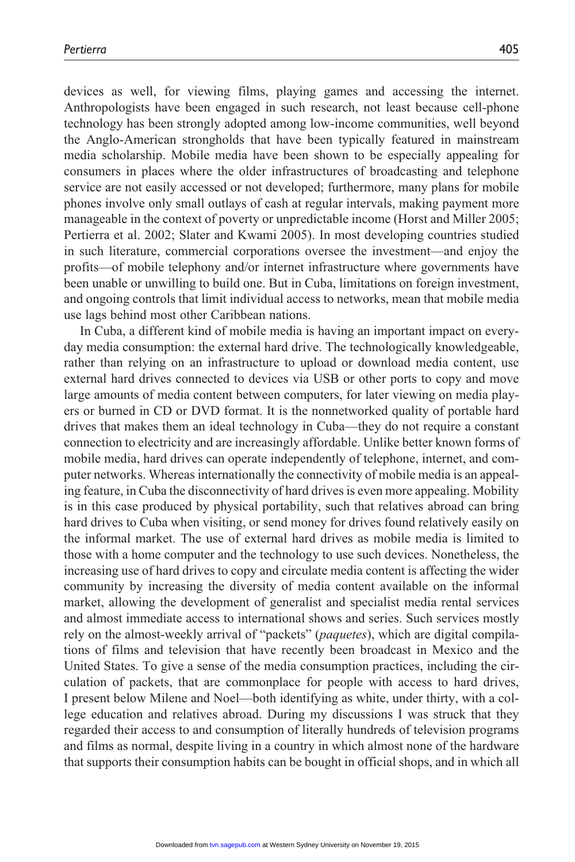devices as well, for viewing films, playing games and accessing the internet. Anthropologists have been engaged in such research, not least because cell-phone technology has been strongly adopted among low-income communities, well beyond the Anglo-American strongholds that have been typically featured in mainstream media scholarship. Mobile media have been shown to be especially appealing for consumers in places where the older infrastructures of broadcasting and telephone service are not easily accessed or not developed; furthermore, many plans for mobile phones involve only small outlays of cash at regular intervals, making payment more manageable in the context of poverty or unpredictable income (Horst and Miller 2005; Pertierra et al. 2002; Slater and Kwami 2005). In most developing countries studied in such literature, commercial corporations oversee the investment—and enjoy the profits—of mobile telephony and/or internet infrastructure where governments have been unable or unwilling to build one. But in Cuba, limitations on foreign investment, and ongoing controls that limit individual access to networks, mean that mobile media use lags behind most other Caribbean nations.

In Cuba, a different kind of mobile media is having an important impact on everyday media consumption: the external hard drive. The technologically knowledgeable, rather than relying on an infrastructure to upload or download media content, use external hard drives connected to devices via USB or other ports to copy and move large amounts of media content between computers, for later viewing on media players or burned in CD or DVD format. It is the nonnetworked quality of portable hard drives that makes them an ideal technology in Cuba—they do not require a constant connection to electricity and are increasingly affordable. Unlike better known forms of mobile media, hard drives can operate independently of telephone, internet, and computer networks. Whereas internationally the connectivity of mobile media is an appealing feature, in Cuba the disconnectivity of hard drives is even more appealing. Mobility is in this case produced by physical portability, such that relatives abroad can bring hard drives to Cuba when visiting, or send money for drives found relatively easily on the informal market. The use of external hard drives as mobile media is limited to those with a home computer and the technology to use such devices. Nonetheless, the increasing use of hard drives to copy and circulate media content is affecting the wider community by increasing the diversity of media content available on the informal market, allowing the development of generalist and specialist media rental services and almost immediate access to international shows and series. Such services mostly rely on the almost-weekly arrival of "packets" (*paquetes*), which are digital compilations of films and television that have recently been broadcast in Mexico and the United States. To give a sense of the media consumption practices, including the circulation of packets, that are commonplace for people with access to hard drives, I present below Milene and Noel—both identifying as white, under thirty, with a college education and relatives abroad. During my discussions I was struck that they regarded their access to and consumption of literally hundreds of television programs and films as normal, despite living in a country in which almost none of the hardware that supports their consumption habits can be bought in official shops, and in which all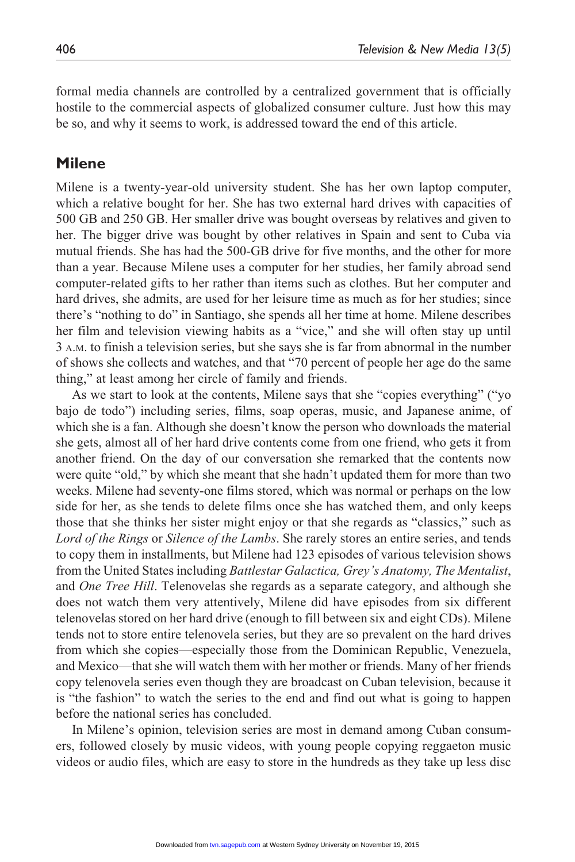formal media channels are controlled by a centralized government that is officially hostile to the commercial aspects of globalized consumer culture. Just how this may be so, and why it seems to work, is addressed toward the end of this article.

# **Milene**

Milene is a twenty-year-old university student. She has her own laptop computer, which a relative bought for her. She has two external hard drives with capacities of 500 GB and 250 GB. Her smaller drive was bought overseas by relatives and given to her. The bigger drive was bought by other relatives in Spain and sent to Cuba via mutual friends. She has had the 500-GB drive for five months, and the other for more than a year. Because Milene uses a computer for her studies, her family abroad send computer-related gifts to her rather than items such as clothes. But her computer and hard drives, she admits, are used for her leisure time as much as for her studies; since there's "nothing to do" in Santiago, she spends all her time at home. Milene describes her film and television viewing habits as a "vice," and she will often stay up until 3 a.m. to finish a television series, but she says she is far from abnormal in the number of shows she collects and watches, and that "70 percent of people her age do the same thing," at least among her circle of family and friends.

As we start to look at the contents, Milene says that she "copies everything" ("yo bajo de todo") including series, films, soap operas, music, and Japanese anime, of which she is a fan. Although she doesn't know the person who downloads the material she gets, almost all of her hard drive contents come from one friend, who gets it from another friend. On the day of our conversation she remarked that the contents now were quite "old," by which she meant that she hadn't updated them for more than two weeks. Milene had seventy-one films stored, which was normal or perhaps on the low side for her, as she tends to delete films once she has watched them, and only keeps those that she thinks her sister might enjoy or that she regards as "classics," such as *Lord of the Rings* or *Silence of the Lambs*. She rarely stores an entire series, and tends to copy them in installments, but Milene had 123 episodes of various television shows from the United States including *Battlestar Galactica, Grey's Anatomy, The Mentalist*, and *One Tree Hill*. Telenovelas she regards as a separate category, and although she does not watch them very attentively, Milene did have episodes from six different telenovelas stored on her hard drive (enough to fill between six and eight CDs). Milene tends not to store entire telenovela series, but they are so prevalent on the hard drives from which she copies—especially those from the Dominican Republic, Venezuela, and Mexico—that she will watch them with her mother or friends. Many of her friends copy telenovela series even though they are broadcast on Cuban television, because it is "the fashion" to watch the series to the end and find out what is going to happen before the national series has concluded.

In Milene's opinion, television series are most in demand among Cuban consumers, followed closely by music videos, with young people copying reggaeton music videos or audio files, which are easy to store in the hundreds as they take up less disc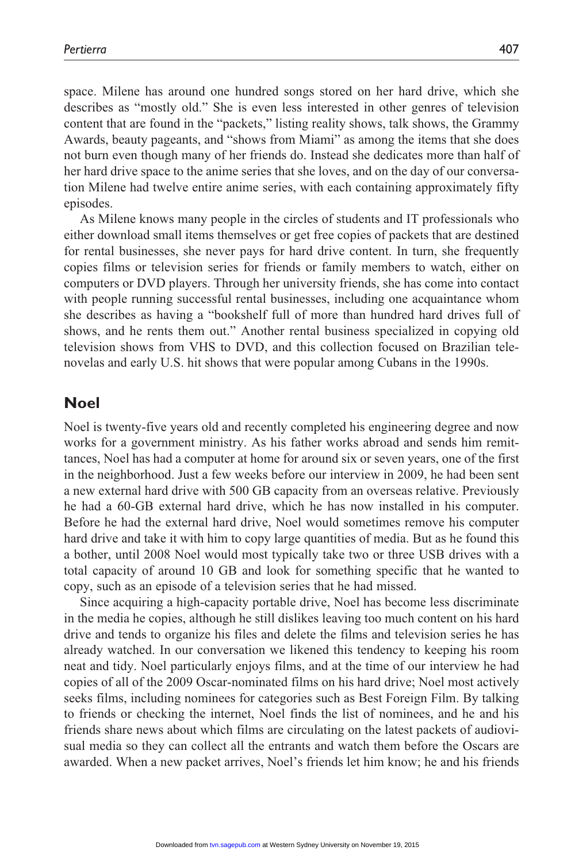space. Milene has around one hundred songs stored on her hard drive, which she describes as "mostly old." She is even less interested in other genres of television content that are found in the "packets," listing reality shows, talk shows, the Grammy Awards, beauty pageants, and "shows from Miami" as among the items that she does not burn even though many of her friends do. Instead she dedicates more than half of her hard drive space to the anime series that she loves, and on the day of our conversation Milene had twelve entire anime series, with each containing approximately fifty episodes.

As Milene knows many people in the circles of students and IT professionals who either download small items themselves or get free copies of packets that are destined for rental businesses, she never pays for hard drive content. In turn, she frequently copies films or television series for friends or family members to watch, either on computers or DVD players. Through her university friends, she has come into contact with people running successful rental businesses, including one acquaintance whom she describes as having a "bookshelf full of more than hundred hard drives full of shows, and he rents them out." Another rental business specialized in copying old television shows from VHS to DVD, and this collection focused on Brazilian telenovelas and early U.S. hit shows that were popular among Cubans in the 1990s.

### **Noel**

Noel is twenty-five years old and recently completed his engineering degree and now works for a government ministry. As his father works abroad and sends him remittances, Noel has had a computer at home for around six or seven years, one of the first in the neighborhood. Just a few weeks before our interview in 2009, he had been sent a new external hard drive with 500 GB capacity from an overseas relative. Previously he had a 60-GB external hard drive, which he has now installed in his computer. Before he had the external hard drive, Noel would sometimes remove his computer hard drive and take it with him to copy large quantities of media. But as he found this a bother, until 2008 Noel would most typically take two or three USB drives with a total capacity of around 10 GB and look for something specific that he wanted to copy, such as an episode of a television series that he had missed.

Since acquiring a high-capacity portable drive, Noel has become less discriminate in the media he copies, although he still dislikes leaving too much content on his hard drive and tends to organize his files and delete the films and television series he has already watched. In our conversation we likened this tendency to keeping his room neat and tidy. Noel particularly enjoys films, and at the time of our interview he had copies of all of the 2009 Oscar-nominated films on his hard drive; Noel most actively seeks films, including nominees for categories such as Best Foreign Film. By talking to friends or checking the internet, Noel finds the list of nominees, and he and his friends share news about which films are circulating on the latest packets of audiovisual media so they can collect all the entrants and watch them before the Oscars are awarded. When a new packet arrives, Noel's friends let him know; he and his friends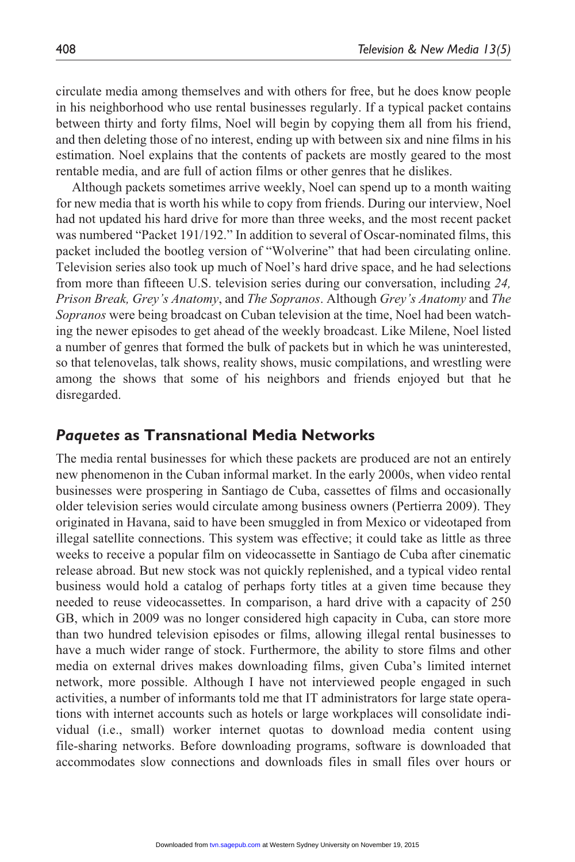circulate media among themselves and with others for free, but he does know people in his neighborhood who use rental businesses regularly. If a typical packet contains between thirty and forty films, Noel will begin by copying them all from his friend, and then deleting those of no interest, ending up with between six and nine films in his estimation. Noel explains that the contents of packets are mostly geared to the most rentable media, and are full of action films or other genres that he dislikes.

Although packets sometimes arrive weekly, Noel can spend up to a month waiting for new media that is worth his while to copy from friends. During our interview, Noel had not updated his hard drive for more than three weeks, and the most recent packet was numbered "Packet 191/192." In addition to several of Oscar-nominated films, this packet included the bootleg version of "Wolverine" that had been circulating online. Television series also took up much of Noel's hard drive space, and he had selections from more than fifteeen U.S. television series during our conversation, including *24, Prison Break, Grey's Anatomy*, and *The Sopranos*. Although *Grey's Anatomy* and *The Sopranos* were being broadcast on Cuban television at the time, Noel had been watching the newer episodes to get ahead of the weekly broadcast. Like Milene, Noel listed a number of genres that formed the bulk of packets but in which he was uninterested, so that telenovelas, talk shows, reality shows, music compilations, and wrestling were among the shows that some of his neighbors and friends enjoyed but that he disregarded.

## *Paquetes* **as Transnational Media Networks**

The media rental businesses for which these packets are produced are not an entirely new phenomenon in the Cuban informal market. In the early 2000s, when video rental businesses were prospering in Santiago de Cuba, cassettes of films and occasionally older television series would circulate among business owners (Pertierra 2009). They originated in Havana, said to have been smuggled in from Mexico or videotaped from illegal satellite connections. This system was effective; it could take as little as three weeks to receive a popular film on videocassette in Santiago de Cuba after cinematic release abroad. But new stock was not quickly replenished, and a typical video rental business would hold a catalog of perhaps forty titles at a given time because they needed to reuse videocassettes. In comparison, a hard drive with a capacity of 250 GB, which in 2009 was no longer considered high capacity in Cuba, can store more than two hundred television episodes or films, allowing illegal rental businesses to have a much wider range of stock. Furthermore, the ability to store films and other media on external drives makes downloading films, given Cuba's limited internet network, more possible. Although I have not interviewed people engaged in such activities, a number of informants told me that IT administrators for large state operations with internet accounts such as hotels or large workplaces will consolidate individual (i.e., small) worker internet quotas to download media content using file-sharing networks. Before downloading programs, software is downloaded that accommodates slow connections and downloads files in small files over hours or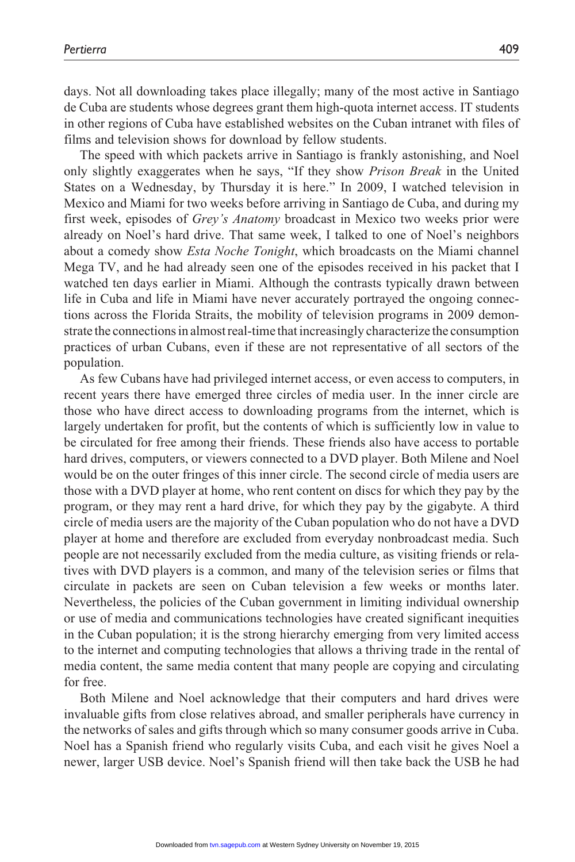days. Not all downloading takes place illegally; many of the most active in Santiago de Cuba are students whose degrees grant them high-quota internet access. IT students in other regions of Cuba have established websites on the Cuban intranet with files of films and television shows for download by fellow students.

The speed with which packets arrive in Santiago is frankly astonishing, and Noel only slightly exaggerates when he says, "If they show *Prison Break* in the United States on a Wednesday, by Thursday it is here." In 2009, I watched television in Mexico and Miami for two weeks before arriving in Santiago de Cuba, and during my first week, episodes of *Grey's Anatomy* broadcast in Mexico two weeks prior were already on Noel's hard drive. That same week, I talked to one of Noel's neighbors about a comedy show *Esta Noche Tonight*, which broadcasts on the Miami channel Mega TV, and he had already seen one of the episodes received in his packet that I watched ten days earlier in Miami. Although the contrasts typically drawn between life in Cuba and life in Miami have never accurately portrayed the ongoing connections across the Florida Straits, the mobility of television programs in 2009 demonstrate the connections in almost real-time that increasingly characterize the consumption practices of urban Cubans, even if these are not representative of all sectors of the population.

As few Cubans have had privileged internet access, or even access to computers, in recent years there have emerged three circles of media user. In the inner circle are those who have direct access to downloading programs from the internet, which is largely undertaken for profit, but the contents of which is sufficiently low in value to be circulated for free among their friends. These friends also have access to portable hard drives, computers, or viewers connected to a DVD player. Both Milene and Noel would be on the outer fringes of this inner circle. The second circle of media users are those with a DVD player at home, who rent content on discs for which they pay by the program, or they may rent a hard drive, for which they pay by the gigabyte. A third circle of media users are the majority of the Cuban population who do not have a DVD player at home and therefore are excluded from everyday nonbroadcast media. Such people are not necessarily excluded from the media culture, as visiting friends or relatives with DVD players is a common, and many of the television series or films that circulate in packets are seen on Cuban television a few weeks or months later. Nevertheless, the policies of the Cuban government in limiting individual ownership or use of media and communications technologies have created significant inequities in the Cuban population; it is the strong hierarchy emerging from very limited access to the internet and computing technologies that allows a thriving trade in the rental of media content, the same media content that many people are copying and circulating for free.

Both Milene and Noel acknowledge that their computers and hard drives were invaluable gifts from close relatives abroad, and smaller peripherals have currency in the networks of sales and gifts through which so many consumer goods arrive in Cuba. Noel has a Spanish friend who regularly visits Cuba, and each visit he gives Noel a newer, larger USB device. Noel's Spanish friend will then take back the USB he had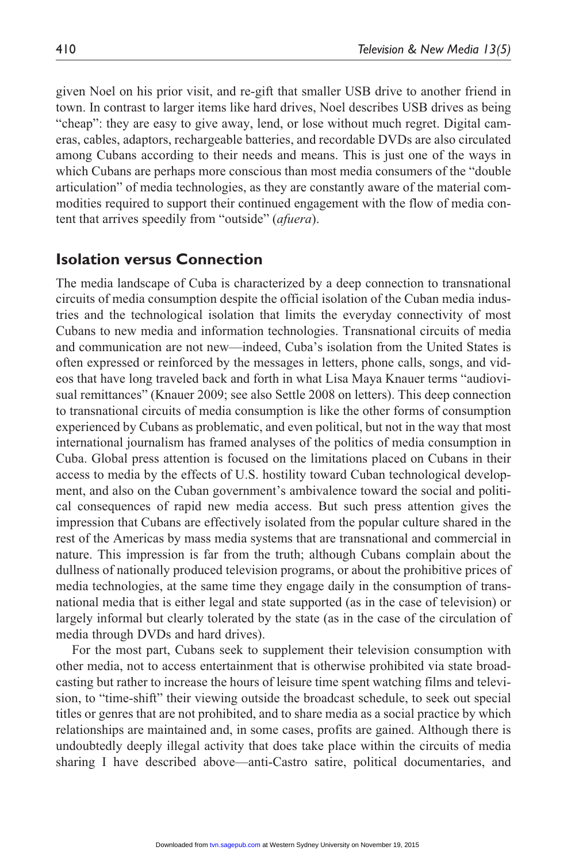given Noel on his prior visit, and re-gift that smaller USB drive to another friend in town. In contrast to larger items like hard drives, Noel describes USB drives as being "cheap": they are easy to give away, lend, or lose without much regret. Digital cameras, cables, adaptors, rechargeable batteries, and recordable DVDs are also circulated among Cubans according to their needs and means. This is just one of the ways in which Cubans are perhaps more conscious than most media consumers of the "double articulation" of media technologies, as they are constantly aware of the material commodities required to support their continued engagement with the flow of media content that arrives speedily from "outside" (*afuera*).

# **Isolation versus Connection**

The media landscape of Cuba is characterized by a deep connection to transnational circuits of media consumption despite the official isolation of the Cuban media industries and the technological isolation that limits the everyday connectivity of most Cubans to new media and information technologies. Transnational circuits of media and communication are not new—indeed, Cuba's isolation from the United States is often expressed or reinforced by the messages in letters, phone calls, songs, and videos that have long traveled back and forth in what Lisa Maya Knauer terms "audiovisual remittances" (Knauer 2009; see also Settle 2008 on letters). This deep connection to transnational circuits of media consumption is like the other forms of consumption experienced by Cubans as problematic, and even political, but not in the way that most international journalism has framed analyses of the politics of media consumption in Cuba. Global press attention is focused on the limitations placed on Cubans in their access to media by the effects of U.S. hostility toward Cuban technological development, and also on the Cuban government's ambivalence toward the social and political consequences of rapid new media access. But such press attention gives the impression that Cubans are effectively isolated from the popular culture shared in the rest of the Americas by mass media systems that are transnational and commercial in nature. This impression is far from the truth; although Cubans complain about the dullness of nationally produced television programs, or about the prohibitive prices of media technologies, at the same time they engage daily in the consumption of transnational media that is either legal and state supported (as in the case of television) or largely informal but clearly tolerated by the state (as in the case of the circulation of media through DVDs and hard drives).

For the most part, Cubans seek to supplement their television consumption with other media, not to access entertainment that is otherwise prohibited via state broadcasting but rather to increase the hours of leisure time spent watching films and television, to "time-shift" their viewing outside the broadcast schedule, to seek out special titles or genres that are not prohibited, and to share media as a social practice by which relationships are maintained and, in some cases, profits are gained. Although there is undoubtedly deeply illegal activity that does take place within the circuits of media sharing I have described above—anti-Castro satire, political documentaries, and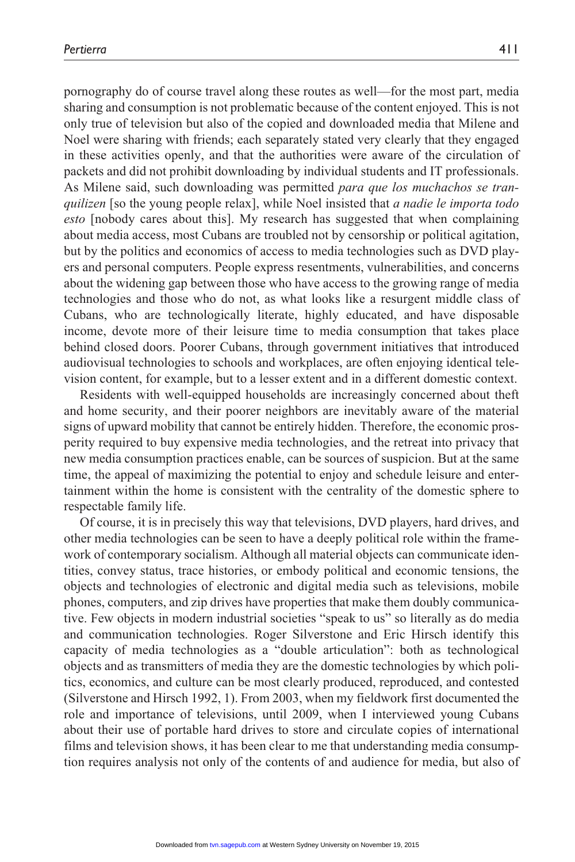pornography do of course travel along these routes as well—for the most part, media sharing and consumption is not problematic because of the content enjoyed. This is not only true of television but also of the copied and downloaded media that Milene and Noel were sharing with friends; each separately stated very clearly that they engaged in these activities openly, and that the authorities were aware of the circulation of packets and did not prohibit downloading by individual students and IT professionals. As Milene said, such downloading was permitted *para que los muchachos se tranquilizen* [so the young people relax], while Noel insisted that *a nadie le importa todo esto* [nobody cares about this]. My research has suggested that when complaining about media access, most Cubans are troubled not by censorship or political agitation, but by the politics and economics of access to media technologies such as DVD players and personal computers. People express resentments, vulnerabilities, and concerns about the widening gap between those who have access to the growing range of media technologies and those who do not, as what looks like a resurgent middle class of Cubans, who are technologically literate, highly educated, and have disposable income, devote more of their leisure time to media consumption that takes place behind closed doors. Poorer Cubans, through government initiatives that introduced audiovisual technologies to schools and workplaces, are often enjoying identical television content, for example, but to a lesser extent and in a different domestic context.

Residents with well-equipped households are increasingly concerned about theft and home security, and their poorer neighbors are inevitably aware of the material signs of upward mobility that cannot be entirely hidden. Therefore, the economic prosperity required to buy expensive media technologies, and the retreat into privacy that new media consumption practices enable, can be sources of suspicion. But at the same time, the appeal of maximizing the potential to enjoy and schedule leisure and entertainment within the home is consistent with the centrality of the domestic sphere to respectable family life.

Of course, it is in precisely this way that televisions, DVD players, hard drives, and other media technologies can be seen to have a deeply political role within the framework of contemporary socialism. Although all material objects can communicate identities, convey status, trace histories, or embody political and economic tensions, the objects and technologies of electronic and digital media such as televisions, mobile phones, computers, and zip drives have properties that make them doubly communicative. Few objects in modern industrial societies "speak to us" so literally as do media and communication technologies. Roger Silverstone and Eric Hirsch identify this capacity of media technologies as a "double articulation": both as technological objects and as transmitters of media they are the domestic technologies by which politics, economics, and culture can be most clearly produced, reproduced, and contested (Silverstone and Hirsch 1992, 1). From 2003, when my fieldwork first documented the role and importance of televisions, until 2009, when I interviewed young Cubans about their use of portable hard drives to store and circulate copies of international films and television shows, it has been clear to me that understanding media consumption requires analysis not only of the contents of and audience for media, but also of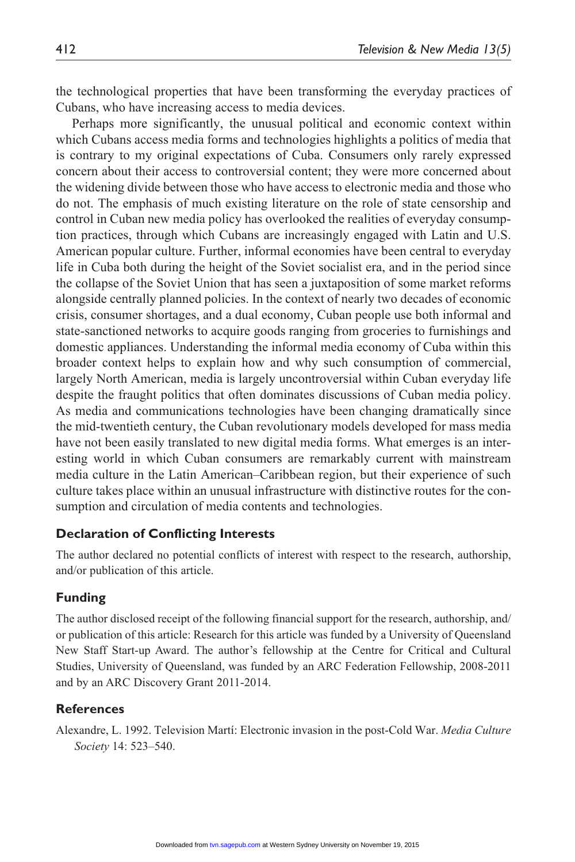the technological properties that have been transforming the everyday practices of Cubans, who have increasing access to media devices.

Perhaps more significantly, the unusual political and economic context within which Cubans access media forms and technologies highlights a politics of media that is contrary to my original expectations of Cuba. Consumers only rarely expressed concern about their access to controversial content; they were more concerned about the widening divide between those who have access to electronic media and those who do not. The emphasis of much existing literature on the role of state censorship and control in Cuban new media policy has overlooked the realities of everyday consumption practices, through which Cubans are increasingly engaged with Latin and U.S. American popular culture. Further, informal economies have been central to everyday life in Cuba both during the height of the Soviet socialist era, and in the period since the collapse of the Soviet Union that has seen a juxtaposition of some market reforms alongside centrally planned policies. In the context of nearly two decades of economic crisis, consumer shortages, and a dual economy, Cuban people use both informal and state-sanctioned networks to acquire goods ranging from groceries to furnishings and domestic appliances. Understanding the informal media economy of Cuba within this broader context helps to explain how and why such consumption of commercial, largely North American, media is largely uncontroversial within Cuban everyday life despite the fraught politics that often dominates discussions of Cuban media policy. As media and communications technologies have been changing dramatically since the mid-twentieth century, the Cuban revolutionary models developed for mass media have not been easily translated to new digital media forms. What emerges is an interesting world in which Cuban consumers are remarkably current with mainstream media culture in the Latin American–Caribbean region, but their experience of such culture takes place within an unusual infrastructure with distinctive routes for the consumption and circulation of media contents and technologies.

### **Declaration of Conflicting Interests**

The author declared no potential conflicts of interest with respect to the research, authorship, and/or publication of this article.

### **Funding**

The author disclosed receipt of the following financial support for the research, authorship, and/ or publication of this article: Research for this article was funded by a University of Queensland New Staff Start-up Award. The author's fellowship at the Centre for Critical and Cultural Studies, University of Queensland, was funded by an ARC Federation Fellowship, 2008-2011 and by an ARC Discovery Grant 2011-2014.

#### **References**

Alexandre, L. 1992. Television Martí: Electronic invasion in the post-Cold War. *Media Culture Society* 14: 523–540.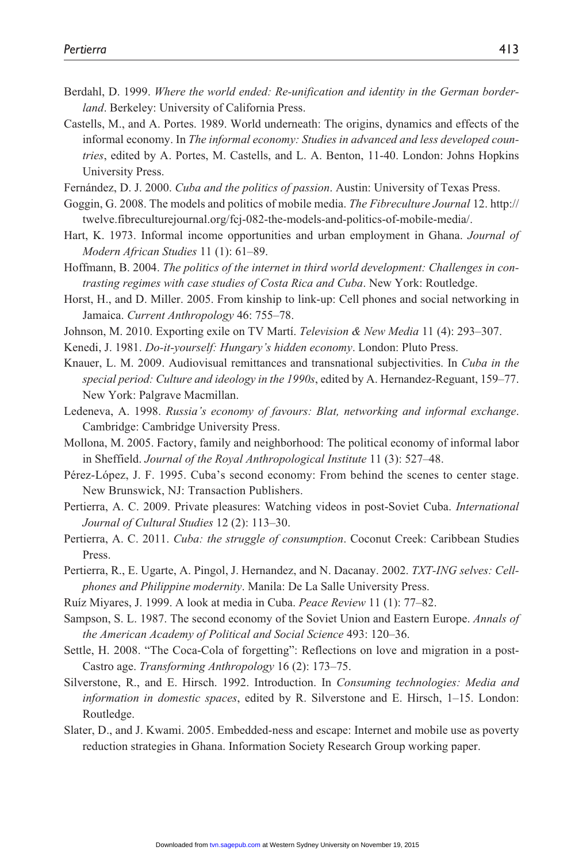- Berdahl, D. 1999. *Where the world ended: Re-unification and identity in the German borderland*. Berkeley: University of California Press.
- Castells, M., and A. Portes. 1989. World underneath: The origins, dynamics and effects of the informal economy. In *The informal economy: Studies in advanced and less developed countries*, edited by A. Portes, M. Castells, and L. A. Benton, 11-40. London: Johns Hopkins University Press.
- Fernández, D. J. 2000. *Cuba and the politics of passion*. Austin: University of Texas Press.
- Goggin, G. 2008. The models and politics of mobile media. *The Fibreculture Journal* 12. http:// twelve.fibreculturejournal.org/fcj-082-the-models-and-politics-of-mobile-media/.
- Hart, K. 1973. Informal income opportunities and urban employment in Ghana. *Journal of Modern African Studies* 11 (1): 61–89.
- Hoffmann, B. 2004. *The politics of the internet in third world development: Challenges in contrasting regimes with case studies of Costa Rica and Cuba*. New York: Routledge.
- Horst, H., and D. Miller. 2005. From kinship to link-up: Cell phones and social networking in Jamaica. *Current Anthropology* 46: 755–78.
- Johnson, M. 2010. Exporting exile on TV Martí. *Television & New Media* 11 (4): 293–307.
- Kenedi, J. 1981. *Do-it-yourself: Hungary's hidden economy*. London: Pluto Press.
- Knauer, L. M. 2009. Audiovisual remittances and transnational subjectivities. In *Cuba in the special period: Culture and ideology in the 1990s*, edited by A. Hernandez-Reguant, 159–77. New York: Palgrave Macmillan.
- Ledeneva, A. 1998. *Russia's economy of favours: Blat, networking and informal exchange*. Cambridge: Cambridge University Press.
- Mollona, M. 2005. Factory, family and neighborhood: The political economy of informal labor in Sheffield. *Journal of the Royal Anthropological Institute* 11 (3): 527–48.
- Pérez-López, J. F. 1995. Cuba's second economy: From behind the scenes to center stage. New Brunswick, NJ: Transaction Publishers.
- Pertierra, A. C. 2009. Private pleasures: Watching videos in post-Soviet Cuba. *International Journal of Cultural Studies* 12 (2): 113–30.
- Pertierra, A. C. 2011. *Cuba: the struggle of consumption*. Coconut Creek: Caribbean Studies Press.
- Pertierra, R., E. Ugarte, A. Pingol, J. Hernandez, and N. Dacanay. 2002. *TXT-ING selves: Cellphones and Philippine modernity*. Manila: De La Salle University Press.
- Ruíz Miyares, J. 1999. A look at media in Cuba. *Peace Review* 11 (1): 77–82.
- Sampson, S. L. 1987. The second economy of the Soviet Union and Eastern Europe. *Annals of the American Academy of Political and Social Science* 493: 120–36.
- Settle, H. 2008. "The Coca-Cola of forgetting": Reflections on love and migration in a post-Castro age. *Transforming Anthropology* 16 (2): 173–75.
- Silverstone, R., and E. Hirsch. 1992. Introduction. In *Consuming technologies: Media and information in domestic spaces*, edited by R. Silverstone and E. Hirsch, 1–15. London: Routledge.
- Slater, D., and J. Kwami. 2005. Embedded-ness and escape: Internet and mobile use as poverty reduction strategies in Ghana. Information Society Research Group working paper.